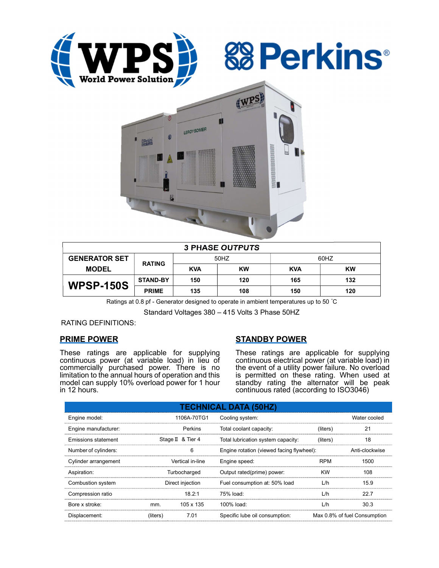





| <b>3 PHASE OUTPUTS</b> |                 |            |           |            |           |  |  |  |
|------------------------|-----------------|------------|-----------|------------|-----------|--|--|--|
| <b>GENERATOR SET</b>   | <b>RATING</b>   | 50HZ       |           | 60HZ       |           |  |  |  |
| <b>MODEL</b>           |                 | <b>KVA</b> | <b>KW</b> | <b>KVA</b> | <b>KW</b> |  |  |  |
| <b>WPSP-150S</b>       | <b>STAND-BY</b> | 150        | 120       | 165        | 132       |  |  |  |
|                        | <b>PRIME</b>    | 135        | 108       | 150        | 120       |  |  |  |

Ratings at 0.8 pf - Generator designed to operate in ambient temperatures up to 50 °C

Standard Voltages 380 – 415 Volts 3 Phase 50HZ

RATING DEFINITIONS:

## PRIME POWER

These ratings are applicable for supplying continuous power (at variable load) in lieu of commercially purchased power. There is no limitation to the annual hours of operation and this model can supply 10% overload power for 1 hour in 12 hours.

# STANDBY POWER

These ratings are applicable for supplying continuous electrical power (at variable load) in the event of a utility power failure. No overload is permitted on these rating. When used at standby rating the alternator will be peak continuous rated (according to ISO3046)

| <b>TECHNICAL DATA (50HZ)</b> |                  |                   |                                           |                |                              |  |  |  |  |
|------------------------------|------------------|-------------------|-------------------------------------------|----------------|------------------------------|--|--|--|--|
| Engine model:                |                  | 1106A-70TG1       | Cooling system:                           |                | Water cooled                 |  |  |  |  |
| Engine manufacturer:         |                  | Perkins           | Total coolant capacity:                   | (liters)       | 21                           |  |  |  |  |
| Emissions statement          |                  | Stage II & Tier 4 | Total lubrication system capacity:        | (liters)       | 18                           |  |  |  |  |
| Number of cylinders:         |                  | 6                 | Engine rotation (viewed facing flywheel): | Anti-clockwise |                              |  |  |  |  |
| Cylinder arrangement         | Vertical in-line |                   | Engine speed:                             | <b>RPM</b>     | 1500                         |  |  |  |  |
| Aspiration:                  | Turbocharged     |                   | Output rated(prime) power:                | <b>KW</b>      | 108                          |  |  |  |  |
| Combustion system            | Direct injection |                   | Fuel consumption at: 50% load             | L/h            | 15.9                         |  |  |  |  |
| Compression ratio            |                  | 18.2:1            | $75%$ load:                               | L/h            | 22.7                         |  |  |  |  |
| Bore x stroke:               | mm.              | 105 x 135         | 100% load:                                | L/h            | 30.3                         |  |  |  |  |
| Displacement:                | (liters)         | 7.01              | Specific lube oil consumption:            |                | Max 0.8% of fuel Consumption |  |  |  |  |